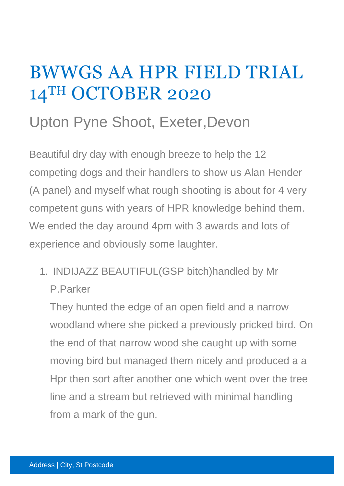## BWWGS AA HPR FIELD TRIAL 14TH OCTOBER 2020

## Upton Pyne Shoot, Exeter,Devon

Beautiful dry day with enough breeze to help the 12 competing dogs and their handlers to show us Alan Hender (A panel) and myself what rough shooting is about for 4 very competent guns with years of HPR knowledge behind them. We ended the day around 4pm with 3 awards and lots of experience and obviously some laughter.

1. INDIJAZZ BEAUTIFUL(GSP bitch)handled by Mr P.Parker

They hunted the edge of an open field and a narrow woodland where she picked a previously pricked bird. On the end of that narrow wood she caught up with some moving bird but managed them nicely and produced a a Hpr then sort after another one which went over the tree line and a stream but retrieved with minimal handling from a mark of the gun.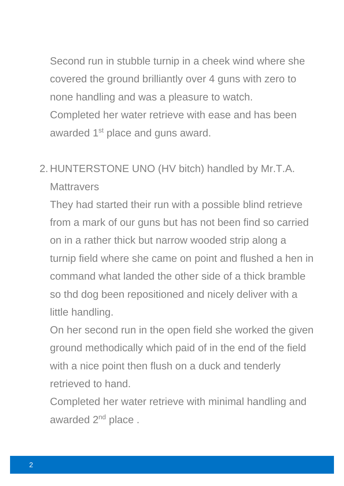Second run in stubble turnip in a cheek wind where she covered the ground brilliantly over 4 guns with zero to none handling and was a pleasure to watch. Completed her water retrieve with ease and has been awarded 1<sup>st</sup> place and guns award.

## 2. HUNTERSTONE UNO (HV bitch) handled by Mr.T.A. **Mattravers**

They had started their run with a possible blind retrieve from a mark of our guns but has not been find so carried on in a rather thick but narrow wooded strip along a turnip field where she came on point and flushed a hen in command what landed the other side of a thick bramble so thd dog been repositioned and nicely deliver with a little handling.

On her second run in the open field she worked the given ground methodically which paid of in the end of the field with a nice point then flush on a duck and tenderly retrieved to hand.

Completed her water retrieve with minimal handling and awarded 2<sup>nd</sup> place.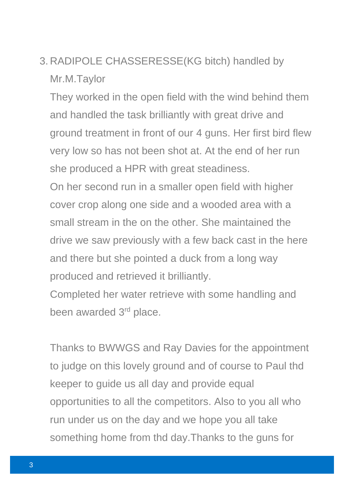## 3. RADIPOLE CHASSERESSE(KG bitch) handled by Mr.M.Taylor

They worked in the open field with the wind behind them and handled the task brilliantly with great drive and ground treatment in front of our 4 guns. Her first bird flew very low so has not been shot at. At the end of her run she produced a HPR with great steadiness.

On her second run in a smaller open field with higher cover crop along one side and a wooded area with a small stream in the on the other. She maintained the drive we saw previously with a few back cast in the here and there but she pointed a duck from a long way produced and retrieved it brilliantly.

Completed her water retrieve with some handling and been awarded 3<sup>rd</sup> place.

Thanks to BWWGS and Ray Davies for the appointment to judge on this lovely ground and of course to Paul thd keeper to guide us all day and provide equal opportunities to all the competitors. Also to you all who run under us on the day and we hope you all take something home from thd day.Thanks to the guns for